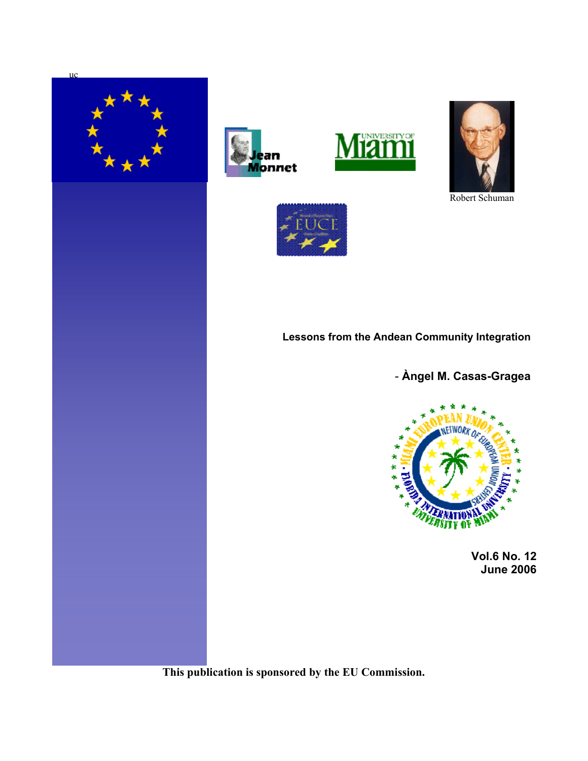







Robert Schuman



# **Lessons from the Andean Community Integration**

- **Àngel M. Casas-Gragea**



**Vol.6 No. 12 June 2006**

**This publication is sponsored by the EU Commission.**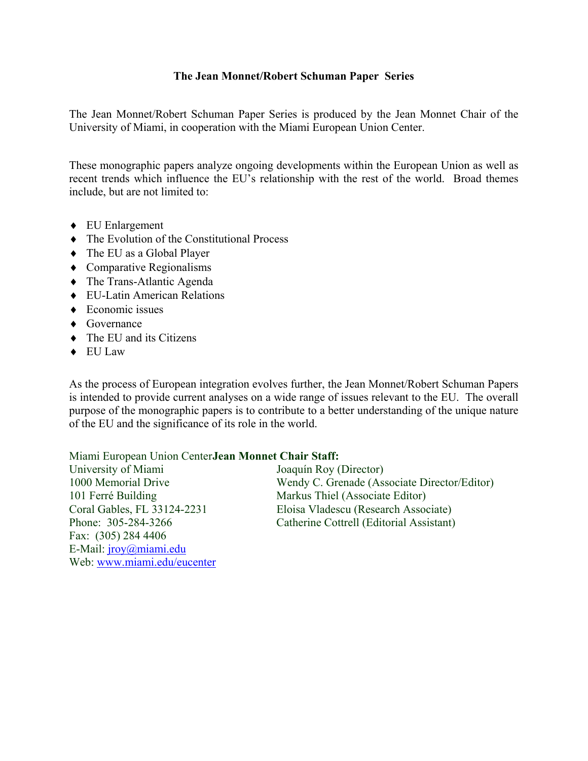## **The Jean Monnet/Robert Schuman Paper Series**

The Jean Monnet/Robert Schuman Paper Series is produced by the Jean Monnet Chair of the University of Miami, in cooperation with the Miami European Union Center.

These monographic papers analyze ongoing developments within the European Union as well as recent trends which influence the EU's relationship with the rest of the world. Broad themes include, but are not limited to:

- ♦ EU Enlargement
- ♦ The Evolution of the Constitutional Process
- ♦ The EU as a Global Player
- ♦ Comparative Regionalisms
- ♦ The Trans-Atlantic Agenda
- ♦ EU-Latin American Relations
- $\triangle$  Economic issues
- ♦ Governance
- $\triangleleft$  The EU and its Citizens

Web: www.miami.edu/eucenter

♦ EU Law

As the process of European integration evolves further, the Jean Monnet/Robert Schuman Papers is intended to provide current analyses on a wide range of issues relevant to the EU. The overall purpose of the monographic papers is to contribute to a better understanding of the unique nature of the EU and the significance of its role in the world.

Miami European Union Center **Jean Monnet Chair Staff:** 

| University of Miami         | Joaquín Roy (Director)                       |
|-----------------------------|----------------------------------------------|
| 1000 Memorial Drive         | Wendy C. Grenade (Associate Director/Editor) |
| 101 Ferré Building          | Markus Thiel (Associate Editor)              |
| Coral Gables, FL 33124-2231 | Eloisa Vladescu (Research Associate)         |
| Phone: 305-284-3266         | Catherine Cottrell (Editorial Assistant)     |
| Fax: $(305)$ 284 4406       |                                              |
| E-Mail: $irow@min$ .edu     |                                              |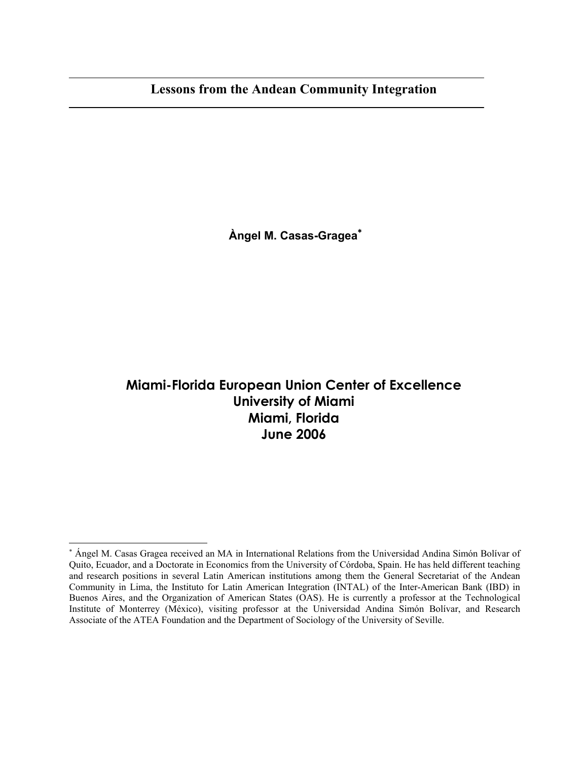**Àngel M. Casas-Gragea**<sup>∗</sup>

# **Miami-Florida European Union Center of Excellence University of Miami Miami, Florida June 2006**

 $\overline{\phantom{a}}$ 

<sup>∗</sup> Ángel M. Casas Gragea received an MA in International Relations from the Universidad Andina Simón Bolívar of Quito, Ecuador, and a Doctorate in Economics from the University of Córdoba, Spain. He has held different teaching and research positions in several Latin American institutions among them the General Secretariat of the Andean Community in Lima, the Instituto for Latin American Integration (INTAL) of the Inter-American Bank (IBD) in Buenos Aires, and the Organization of American States (OAS). He is currently a professor at the Technological Institute of Monterrey (México), visiting professor at the Universidad Andina Simón Bolívar, and Research Associate of the ATEA Foundation and the Department of Sociology of the University of Seville.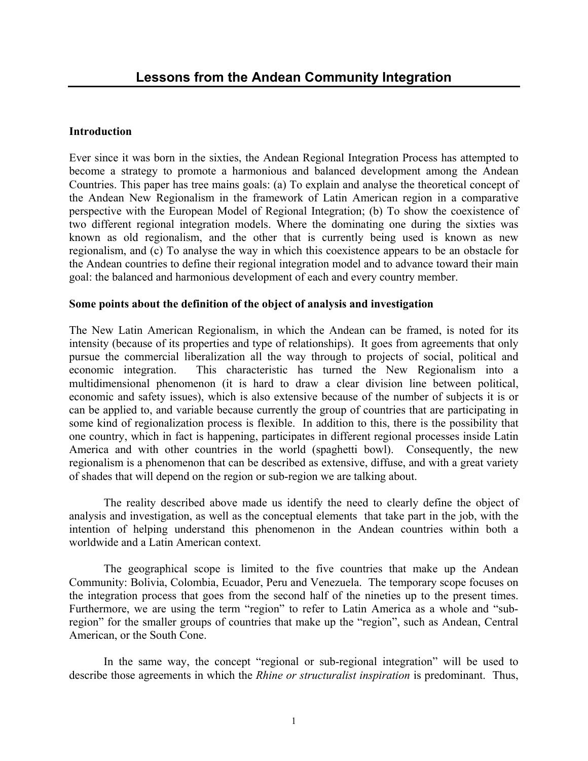## **Introduction**

Ever since it was born in the sixties, the Andean Regional Integration Process has attempted to become a strategy to promote a harmonious and balanced development among the Andean Countries. This paper has tree mains goals: (a) To explain and analyse the theoretical concept of the Andean New Regionalism in the framework of Latin American region in a comparative perspective with the European Model of Regional Integration; (b) To show the coexistence of two different regional integration models. Where the dominating one during the sixties was known as old regionalism, and the other that is currently being used is known as new regionalism, and (c) To analyse the way in which this coexistence appears to be an obstacle for the Andean countries to define their regional integration model and to advance toward their main goal: the balanced and harmonious development of each and every country member.

## **Some points about the definition of the object of analysis and investigation**

The New Latin American Regionalism, in which the Andean can be framed, is noted for its intensity (because of its properties and type of relationships). It goes from agreements that only pursue the commercial liberalization all the way through to projects of social, political and economic integration. This characteristic has turned the New Regionalism into a multidimensional phenomenon (it is hard to draw a clear division line between political, economic and safety issues), which is also extensive because of the number of subjects it is or can be applied to, and variable because currently the group of countries that are participating in some kind of regionalization process is flexible. In addition to this, there is the possibility that one country, which in fact is happening, participates in different regional processes inside Latin America and with other countries in the world (spaghetti bowl). Consequently, the new regionalism is a phenomenon that can be described as extensive, diffuse, and with a great variety of shades that will depend on the region or sub-region we are talking about.

 The reality described above made us identify the need to clearly define the object of analysis and investigation, as well as the conceptual elements that take part in the job, with the intention of helping understand this phenomenon in the Andean countries within both a worldwide and a Latin American context.

 The geographical scope is limited to the five countries that make up the Andean Community: Bolivia, Colombia, Ecuador, Peru and Venezuela. The temporary scope focuses on the integration process that goes from the second half of the nineties up to the present times. Furthermore, we are using the term "region" to refer to Latin America as a whole and "subregion" for the smaller groups of countries that make up the "region", such as Andean, Central American, or the South Cone.

 In the same way, the concept "regional or sub-regional integration" will be used to describe those agreements in which the *Rhine or structuralist inspiration* is predominant. Thus,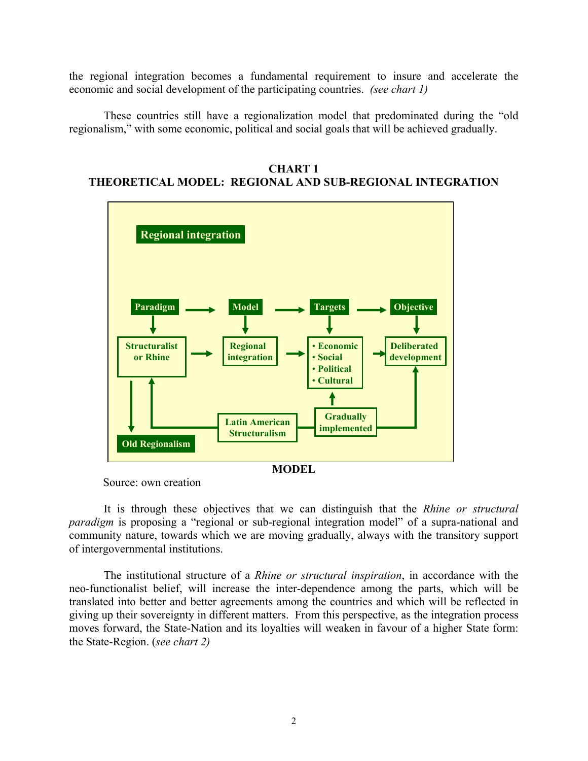the regional integration becomes a fundamental requirement to insure and accelerate the economic and social development of the participating countries. *(see chart 1)* 

 These countries still have a regionalization model that predominated during the "old regionalism," with some economic, political and social goals that will be achieved gradually.

**CHART 1 THEORETICAL MODEL: REGIONAL AND SUB-REGIONAL INTEGRATION** 



Source: own creation

 It is through these objectives that we can distinguish that the *Rhine or structural paradigm* is proposing a "regional or sub-regional integration model" of a supra-national and community nature, towards which we are moving gradually, always with the transitory support of intergovernmental institutions.

 The institutional structure of a *Rhine or structural inspiration*, in accordance with the neo-functionalist belief, will increase the inter-dependence among the parts, which will be translated into better and better agreements among the countries and which will be reflected in giving up their sovereignty in different matters. From this perspective, as the integration process moves forward, the State-Nation and its loyalties will weaken in favour of a higher State form: the State-Region. (*see chart 2)*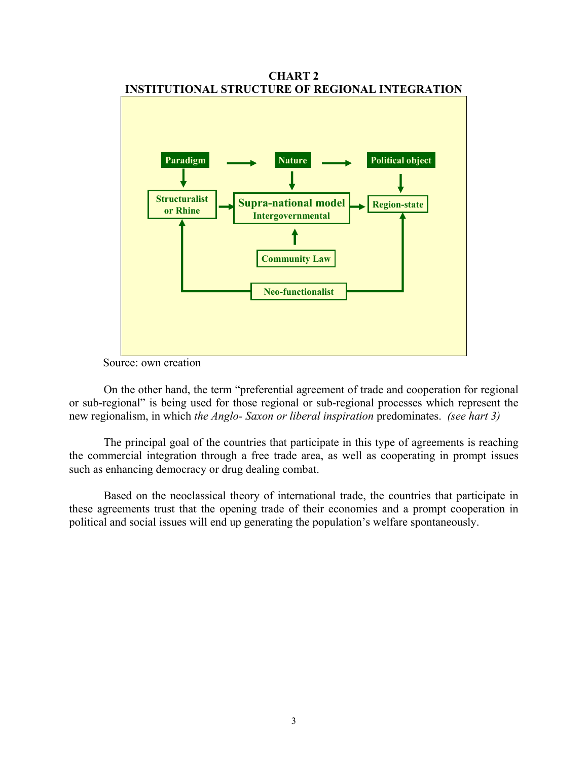

**CHART 2** 

Source: own creation

 On the other hand, the term "preferential agreement of trade and cooperation for regional or sub-regional" is being used for those regional or sub-regional processes which represent the new regionalism, in which *the Anglo- Saxon or liberal inspiration* predominates. *(see hart 3)* 

 The principal goal of the countries that participate in this type of agreements is reaching the commercial integration through a free trade area, as well as cooperating in prompt issues such as enhancing democracy or drug dealing combat.

 Based on the neoclassical theory of international trade, the countries that participate in these agreements trust that the opening trade of their economies and a prompt cooperation in political and social issues will end up generating the population's welfare spontaneously.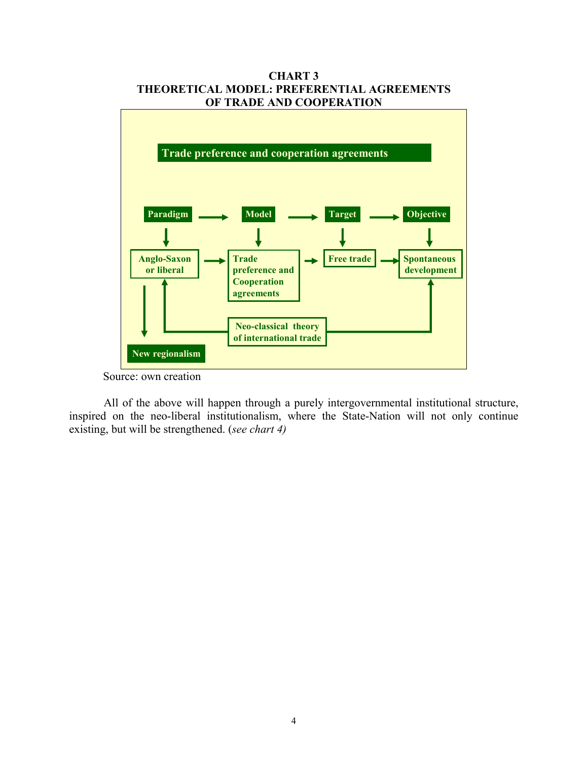

**CHART 3 THEORETICAL MODEL: PREFERENTIAL AGREEMENTS** 

 All of the above will happen through a purely intergovernmental institutional structure, inspired on the neo-liberal institutionalism, where the State-Nation will not only continue existing, but will be strengthened. (*see chart 4)* 

Source: own creation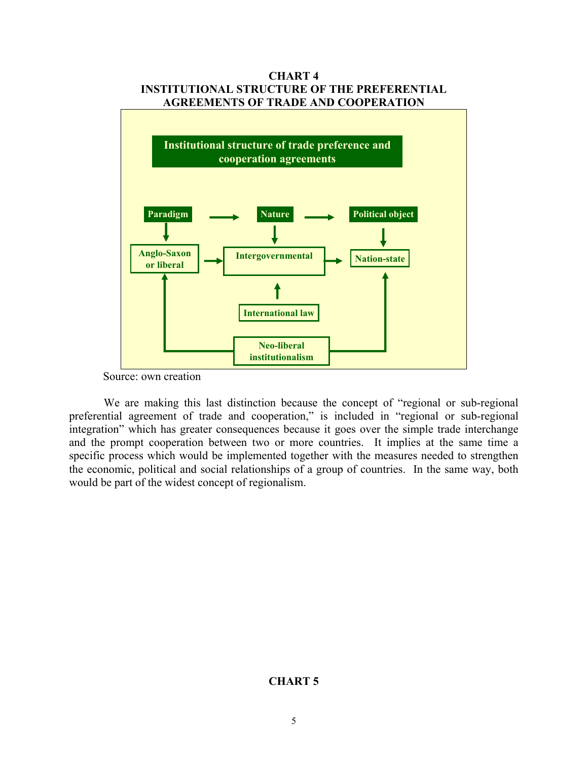

**CHART 4** 

 We are making this last distinction because the concept of "regional or sub-regional preferential agreement of trade and cooperation," is included in "regional or sub-regional integration" which has greater consequences because it goes over the simple trade interchange and the prompt cooperation between two or more countries. It implies at the same time a specific process which would be implemented together with the measures needed to strengthen the economic, political and social relationships of a group of countries. In the same way, both would be part of the widest concept of regionalism.

# **CHART 5**

Source: own creation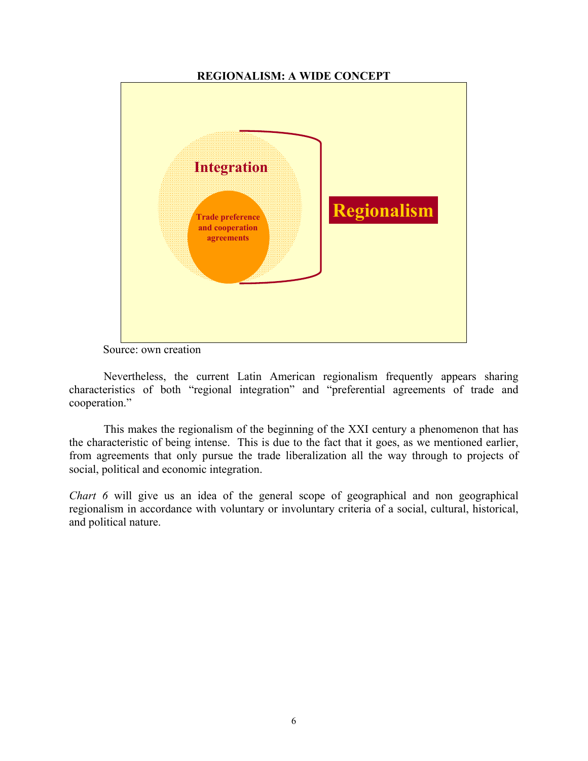## **REGIONALISM: A WIDE CONCEPT**



Source: own creation

 Nevertheless, the current Latin American regionalism frequently appears sharing characteristics of both "regional integration" and "preferential agreements of trade and cooperation."

 This makes the regionalism of the beginning of the XXI century a phenomenon that has the characteristic of being intense. This is due to the fact that it goes, as we mentioned earlier, from agreements that only pursue the trade liberalization all the way through to projects of social, political and economic integration.

*Chart 6* will give us an idea of the general scope of geographical and non geographical regionalism in accordance with voluntary or involuntary criteria of a social, cultural, historical, and political nature.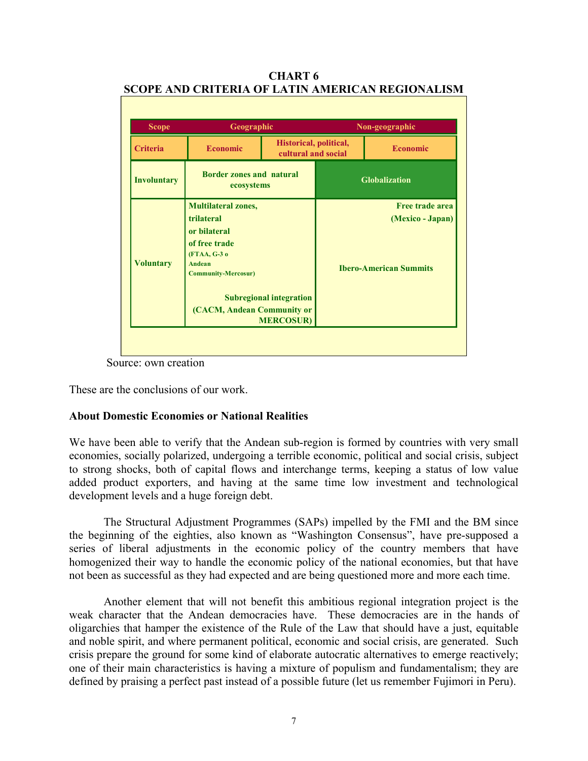| <b>Scope</b>       | Geographic                                                                                                                                                                                                            |                                               | Non-geographic                                                              |                      |  |
|--------------------|-----------------------------------------------------------------------------------------------------------------------------------------------------------------------------------------------------------------------|-----------------------------------------------|-----------------------------------------------------------------------------|----------------------|--|
| <b>Criteria</b>    | <b>Economic</b>                                                                                                                                                                                                       | Historical, political,<br>cultural and social |                                                                             | <b>Economic</b>      |  |
| <b>Involuntary</b> | <b>Border zones and natural</b><br>ecosystems                                                                                                                                                                         |                                               |                                                                             | <b>Globalization</b> |  |
| <b>Voluntary</b>   | <b>Multilateral zones,</b><br>trilateral<br>or bilateral<br>of free trade<br>(FTAA, G-3 o<br>Andean<br><b>Community-Mercosur)</b><br><b>Subregional integration</b><br>(CACM, Andean Community or<br><b>MERCOSUR)</b> |                                               | <b>Free trade area</b><br>(Mexico - Japan)<br><b>Ibero-American Summits</b> |                      |  |

**CHART 6 SCOPE AND CRITERIA OF LATIN AMERICAN REGIONALISM** 

Source: own creation

These are the conclusions of our work.

## **About Domestic Economies or National Realities**

We have been able to verify that the Andean sub-region is formed by countries with very small economies, socially polarized, undergoing a terrible economic, political and social crisis, subject to strong shocks, both of capital flows and interchange terms, keeping a status of low value added product exporters, and having at the same time low investment and technological development levels and a huge foreign debt.

 The Structural Adjustment Programmes (SAPs) impelled by the FMI and the BM since the beginning of the eighties, also known as "Washington Consensus", have pre-supposed a series of liberal adjustments in the economic policy of the country members that have homogenized their way to handle the economic policy of the national economies, but that have not been as successful as they had expected and are being questioned more and more each time.

 Another element that will not benefit this ambitious regional integration project is the weak character that the Andean democracies have. These democracies are in the hands of oligarchies that hamper the existence of the Rule of the Law that should have a just, equitable and noble spirit, and where permanent political, economic and social crisis, are generated. Such crisis prepare the ground for some kind of elaborate autocratic alternatives to emerge reactively; one of their main characteristics is having a mixture of populism and fundamentalism; they are defined by praising a perfect past instead of a possible future (let us remember Fujimori in Peru).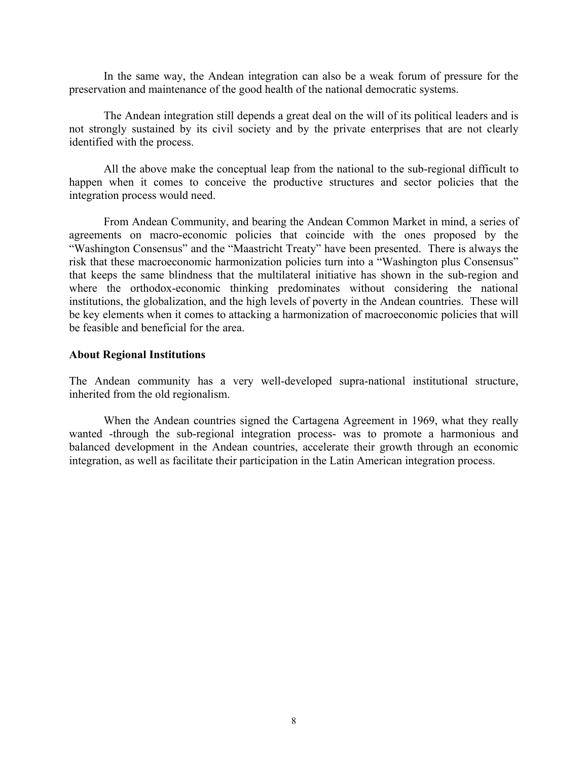In the same way, the Andean integration can also be a weak forum of pressure for the preservation and maintenance of the good health of the national democratic systems.

 The Andean integration still depends a great deal on the will of its political leaders and is not strongly sustained by its civil society and by the private enterprises that are not clearly identified with the process.

 All the above make the conceptual leap from the national to the sub-regional difficult to happen when it comes to conceive the productive structures and sector policies that the integration process would need.

 From Andean Community, and bearing the Andean Common Market in mind, a series of agreements on macro-economic policies that coincide with the ones proposed by the "Washington Consensus" and the "Maastricht Treaty" have been presented. There is always the risk that these macroeconomic harmonization policies turn into a "Washington plus Consensus" that keeps the same blindness that the multilateral initiative has shown in the sub-region and where the orthodox-economic thinking predominates without considering the national institutions, the globalization, and the high levels of poverty in the Andean countries. These will be key elements when it comes to attacking a harmonization of macroeconomic policies that will be feasible and beneficial for the area.

#### **About Regional Institutions**

The Andean community has a very well-developed supra-national institutional structure, inherited from the old regionalism.

 When the Andean countries signed the Cartagena Agreement in 1969, what they really wanted -through the sub-regional integration process- was to promote a harmonious and balanced development in the Andean countries, accelerate their growth through an economic integration, as well as facilitate their participation in the Latin American integration process.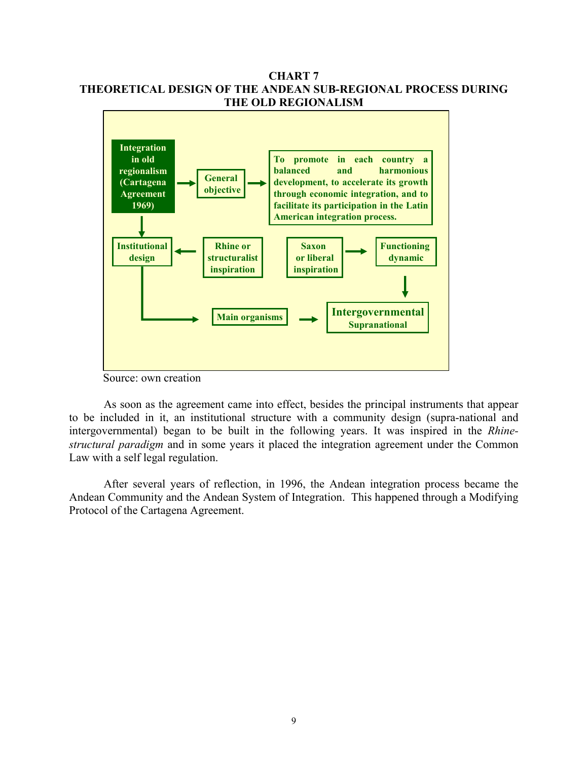## **CHART 7 THEORETICAL DESIGN OF THE ANDEAN SUB-REGIONAL PROCESS DURING THE OLD REGIONALISM**



Source: own creation

 As soon as the agreement came into effect, besides the principal instruments that appear to be included in it, an institutional structure with a community design (supra-national and intergovernmental) began to be built in the following years. It was inspired in the *Rhinestructural paradigm* and in some years it placed the integration agreement under the Common Law with a self legal regulation.

 After several years of reflection, in 1996, the Andean integration process became the Andean Community and the Andean System of Integration. This happened through a Modifying Protocol of the Cartagena Agreement.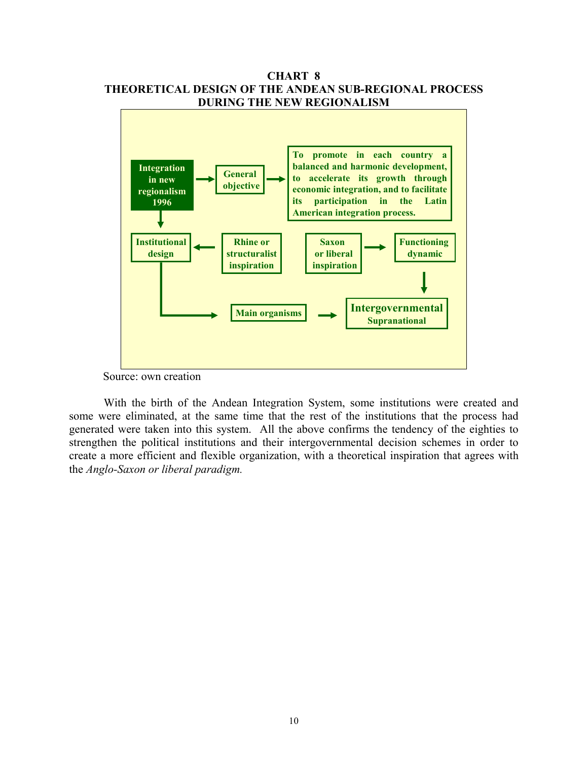

**CHART 8** 

Source: own creation

 With the birth of the Andean Integration System, some institutions were created and some were eliminated, at the same time that the rest of the institutions that the process had generated were taken into this system. All the above confirms the tendency of the eighties to strengthen the political institutions and their intergovernmental decision schemes in order to create a more efficient and flexible organization, with a theoretical inspiration that agrees with the *Anglo-Saxon or liberal paradigm.*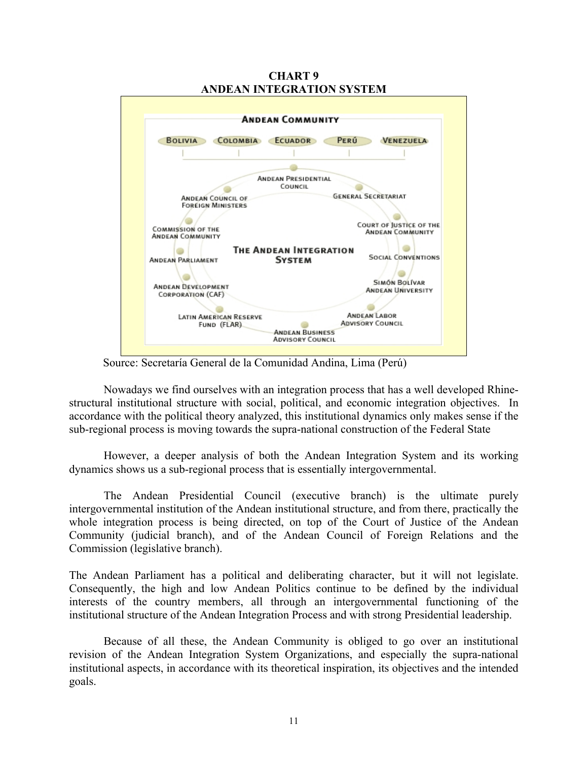

**CHART 9 ANDEAN INTEGRATION SYSTEM** 

Source: Secretaría General de la Comunidad Andina, Lima (Perú)

 Nowadays we find ourselves with an integration process that has a well developed Rhinestructural institutional structure with social, political, and economic integration objectives. In accordance with the political theory analyzed, this institutional dynamics only makes sense if the sub-regional process is moving towards the supra-national construction of the Federal State

 However, a deeper analysis of both the Andean Integration System and its working dynamics shows us a sub-regional process that is essentially intergovernmental.

 The Andean Presidential Council (executive branch) is the ultimate purely intergovernmental institution of the Andean institutional structure, and from there, practically the whole integration process is being directed, on top of the Court of Justice of the Andean Community (judicial branch), and of the Andean Council of Foreign Relations and the Commission (legislative branch).

The Andean Parliament has a political and deliberating character, but it will not legislate. Consequently, the high and low Andean Politics continue to be defined by the individual interests of the country members, all through an intergovernmental functioning of the institutional structure of the Andean Integration Process and with strong Presidential leadership.

 Because of all these, the Andean Community is obliged to go over an institutional revision of the Andean Integration System Organizations, and especially the supra-national institutional aspects, in accordance with its theoretical inspiration, its objectives and the intended goals.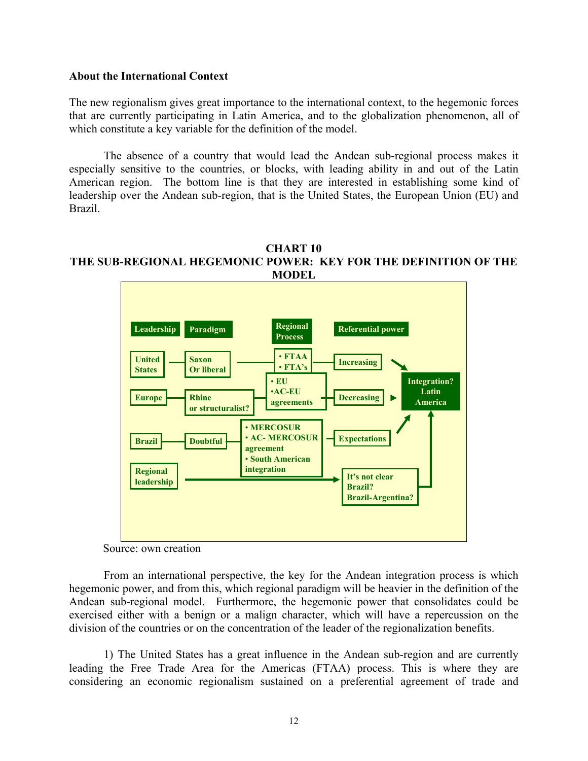#### **About the International Context**

The new regionalism gives great importance to the international context, to the hegemonic forces that are currently participating in Latin America, and to the globalization phenomenon, all of which constitute a key variable for the definition of the model.

 The absence of a country that would lead the Andean sub-regional process makes it especially sensitive to the countries, or blocks, with leading ability in and out of the Latin American region. The bottom line is that they are interested in establishing some kind of leadership over the Andean sub-region, that is the United States, the European Union (EU) and Brazil.

#### **CHART 10 THE SUB-REGIONAL HEGEMONIC POWER: KEY FOR THE DEFINITION OF THE MODEL**



Source: own creation

 From an international perspective, the key for the Andean integration process is which hegemonic power, and from this, which regional paradigm will be heavier in the definition of the Andean sub-regional model. Furthermore, the hegemonic power that consolidates could be exercised either with a benign or a malign character, which will have a repercussion on the division of the countries or on the concentration of the leader of the regionalization benefits.

 1) The United States has a great influence in the Andean sub-region and are currently leading the Free Trade Area for the Americas (FTAA) process. This is where they are considering an economic regionalism sustained on a preferential agreement of trade and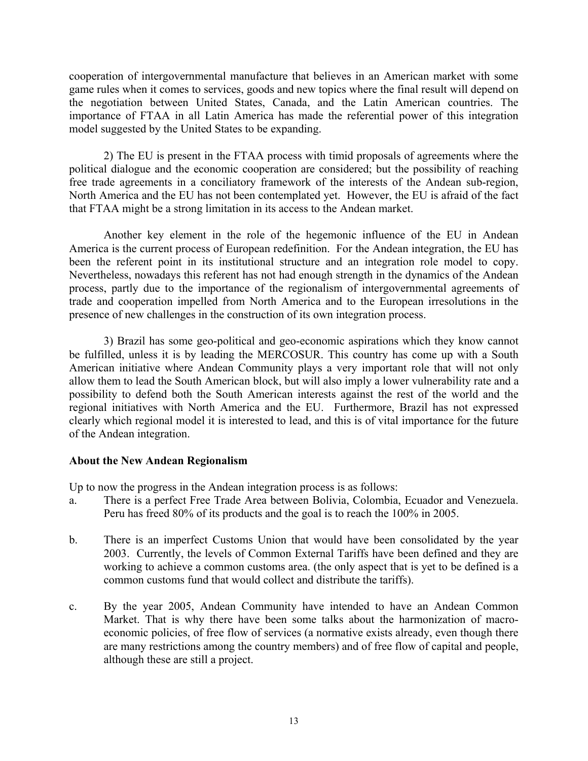cooperation of intergovernmental manufacture that believes in an American market with some game rules when it comes to services, goods and new topics where the final result will depend on the negotiation between United States, Canada, and the Latin American countries. The importance of FTAA in all Latin America has made the referential power of this integration model suggested by the United States to be expanding.

 2) The EU is present in the FTAA process with timid proposals of agreements where the political dialogue and the economic cooperation are considered; but the possibility of reaching free trade agreements in a conciliatory framework of the interests of the Andean sub-region, North America and the EU has not been contemplated yet. However, the EU is afraid of the fact that FTAA might be a strong limitation in its access to the Andean market.

 Another key element in the role of the hegemonic influence of the EU in Andean America is the current process of European redefinition. For the Andean integration, the EU has been the referent point in its institutional structure and an integration role model to copy. Nevertheless, nowadays this referent has not had enough strength in the dynamics of the Andean process, partly due to the importance of the regionalism of intergovernmental agreements of trade and cooperation impelled from North America and to the European irresolutions in the presence of new challenges in the construction of its own integration process.

 3) Brazil has some geo-political and geo-economic aspirations which they know cannot be fulfilled, unless it is by leading the MERCOSUR. This country has come up with a South American initiative where Andean Community plays a very important role that will not only allow them to lead the South American block, but will also imply a lower vulnerability rate and a possibility to defend both the South American interests against the rest of the world and the regional initiatives with North America and the EU. Furthermore, Brazil has not expressed clearly which regional model it is interested to lead, and this is of vital importance for the future of the Andean integration.

## **About the New Andean Regionalism**

Up to now the progress in the Andean integration process is as follows:

- a. There is a perfect Free Trade Area between Bolivia, Colombia, Ecuador and Venezuela. Peru has freed 80% of its products and the goal is to reach the 100% in 2005.
- b. There is an imperfect Customs Union that would have been consolidated by the year 2003. Currently, the levels of Common External Tariffs have been defined and they are working to achieve a common customs area. (the only aspect that is yet to be defined is a common customs fund that would collect and distribute the tariffs).
- c. By the year 2005, Andean Community have intended to have an Andean Common Market. That is why there have been some talks about the harmonization of macroeconomic policies, of free flow of services (a normative exists already, even though there are many restrictions among the country members) and of free flow of capital and people, although these are still a project.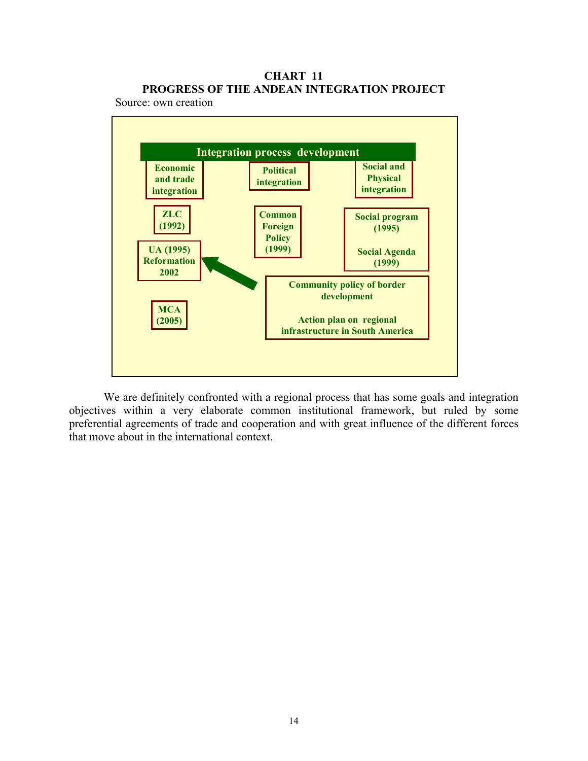# **CHART 11 PROGRESS OF THE ANDEAN INTEGRATION PROJECT**

Source: own creation



 We are definitely confronted with a regional process that has some goals and integration objectives within a very elaborate common institutional framework, but ruled by some preferential agreements of trade and cooperation and with great influence of the different forces that move about in the international context.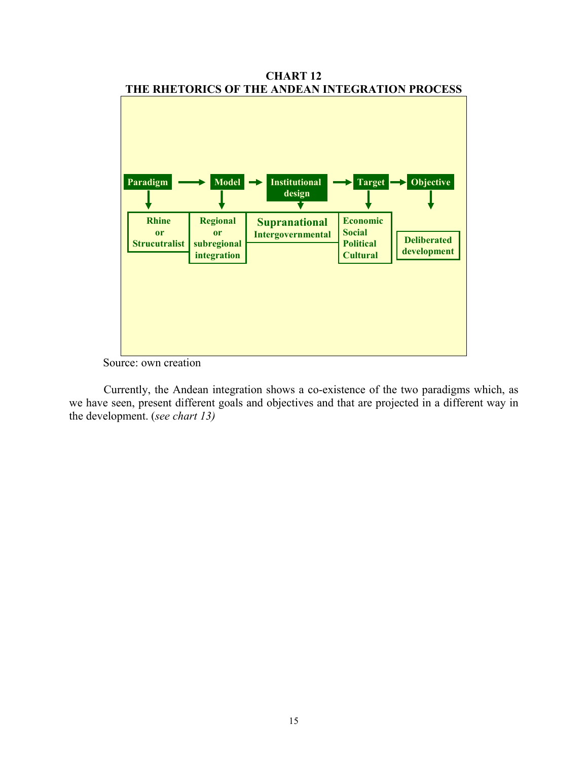

**CHART 12 THE RHETORICS OF THE ANDEAN INTEGRATION PROCESS** 

Source: own creation

 Currently, the Andean integration shows a co-existence of the two paradigms which, as we have seen, present different goals and objectives and that are projected in a different way in the development. (*see chart 13)*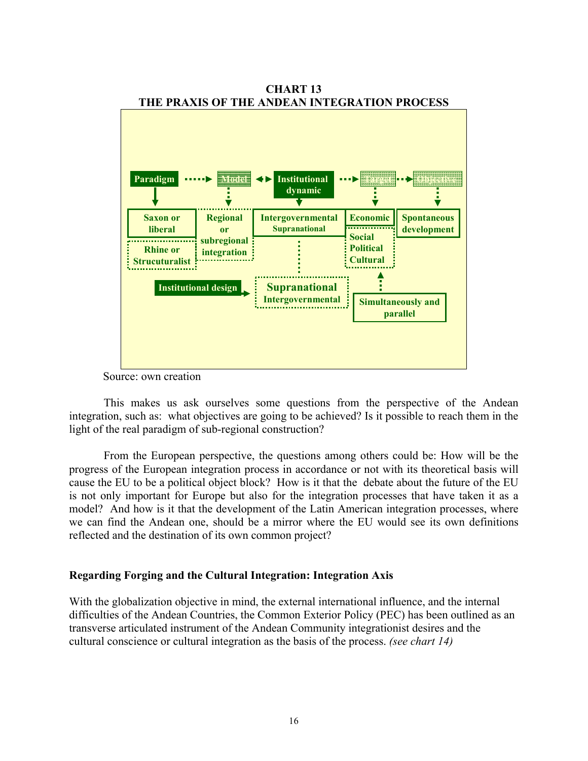

**CHART 13** 

Source: own creation

 This makes us ask ourselves some questions from the perspective of the Andean integration, such as: what objectives are going to be achieved? Is it possible to reach them in the light of the real paradigm of sub-regional construction?

 From the European perspective, the questions among others could be: How will be the progress of the European integration process in accordance or not with its theoretical basis will cause the EU to be a political object block? How is it that the debate about the future of the EU is not only important for Europe but also for the integration processes that have taken it as a model? And how is it that the development of the Latin American integration processes, where we can find the Andean one, should be a mirror where the EU would see its own definitions reflected and the destination of its own common project?

#### **Regarding Forging and the Cultural Integration: Integration Axis**

With the globalization objective in mind, the external international influence, and the internal difficulties of the Andean Countries, the Common Exterior Policy (PEC) has been outlined as an transverse articulated instrument of the Andean Community integrationist desires and the cultural conscience or cultural integration as the basis of the process. *(see chart 14)*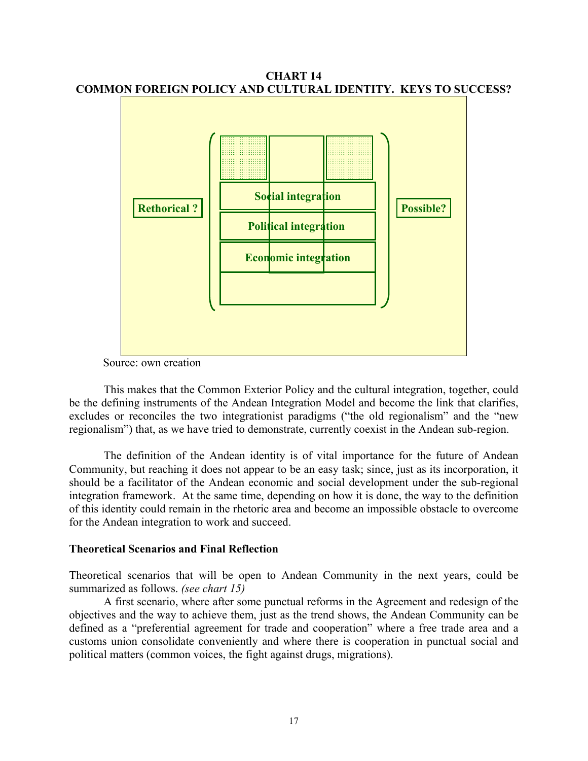**CHART 14 COMMON FOREIGN POLICY AND CULTURAL IDENTITY. KEYS TO SUCCESS?** 



Source: own creation

 This makes that the Common Exterior Policy and the cultural integration, together, could be the defining instruments of the Andean Integration Model and become the link that clarifies, excludes or reconciles the two integrationist paradigms ("the old regionalism" and the "new regionalism") that, as we have tried to demonstrate, currently coexist in the Andean sub-region.

 The definition of the Andean identity is of vital importance for the future of Andean Community, but reaching it does not appear to be an easy task; since, just as its incorporation, it should be a facilitator of the Andean economic and social development under the sub-regional integration framework. At the same time, depending on how it is done, the way to the definition of this identity could remain in the rhetoric area and become an impossible obstacle to overcome for the Andean integration to work and succeed.

#### **Theoretical Scenarios and Final Reflection**

Theoretical scenarios that will be open to Andean Community in the next years, could be summarized as follows. *(see chart 15)*

 A first scenario, where after some punctual reforms in the Agreement and redesign of the objectives and the way to achieve them, just as the trend shows, the Andean Community can be defined as a "preferential agreement for trade and cooperation" where a free trade area and a customs union consolidate conveniently and where there is cooperation in punctual social and political matters (common voices, the fight against drugs, migrations).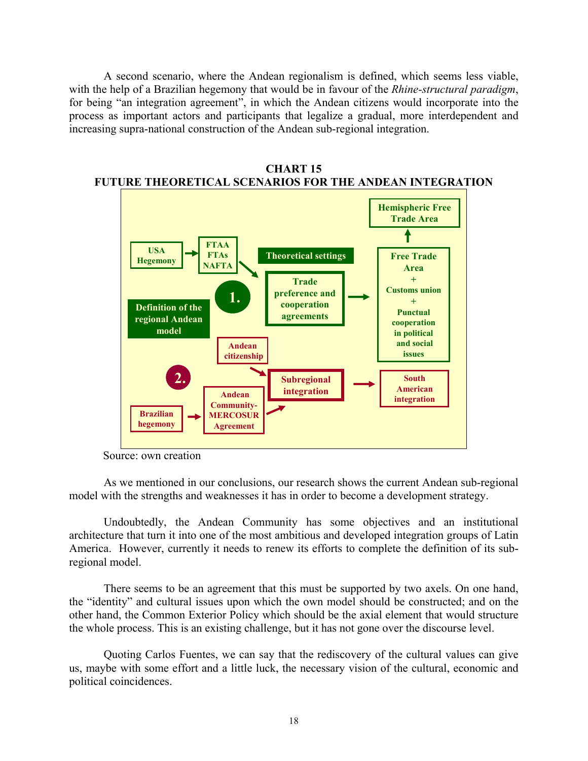A second scenario, where the Andean regionalism is defined, which seems less viable, with the help of a Brazilian hegemony that would be in favour of the *Rhine-structural paradigm*, for being "an integration agreement", in which the Andean citizens would incorporate into the process as important actors and participants that legalize a gradual, more interdependent and increasing supra-national construction of the Andean sub-regional integration.



**CHART 15 FUTURE THEORETICAL SCENARIOS FOR THE ANDEAN INTEGRATION** 

 As we mentioned in our conclusions, our research shows the current Andean sub-regional model with the strengths and weaknesses it has in order to become a development strategy.

 Undoubtedly, the Andean Community has some objectives and an institutional architecture that turn it into one of the most ambitious and developed integration groups of Latin America. However, currently it needs to renew its efforts to complete the definition of its subregional model.

 There seems to be an agreement that this must be supported by two axels. On one hand, the "identity" and cultural issues upon which the own model should be constructed; and on the other hand, the Common Exterior Policy which should be the axial element that would structure the whole process. This is an existing challenge, but it has not gone over the discourse level.

 Quoting Carlos Fuentes, we can say that the rediscovery of the cultural values can give us, maybe with some effort and a little luck, the necessary vision of the cultural, economic and political coincidences.

Source: own creation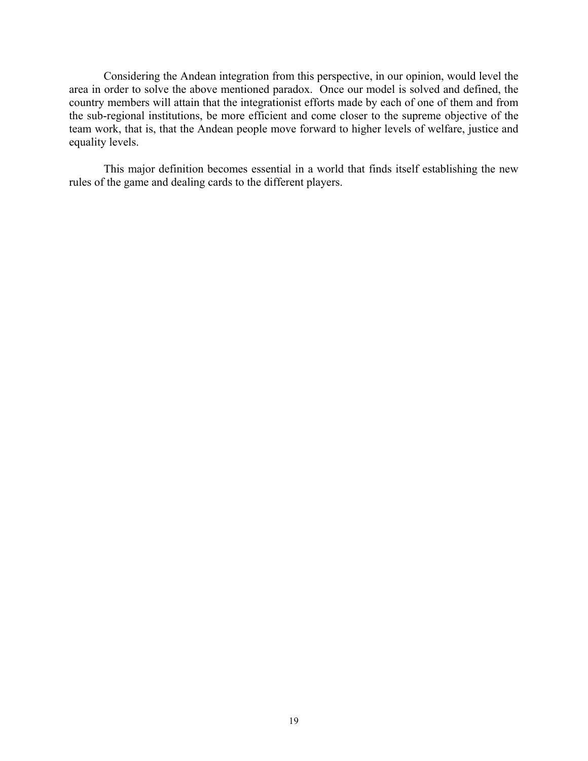Considering the Andean integration from this perspective, in our opinion, would level the area in order to solve the above mentioned paradox. Once our model is solved and defined, the country members will attain that the integrationist efforts made by each of one of them and from the sub-regional institutions, be more efficient and come closer to the supreme objective of the team work, that is, that the Andean people move forward to higher levels of welfare, justice and equality levels.

 This major definition becomes essential in a world that finds itself establishing the new rules of the game and dealing cards to the different players.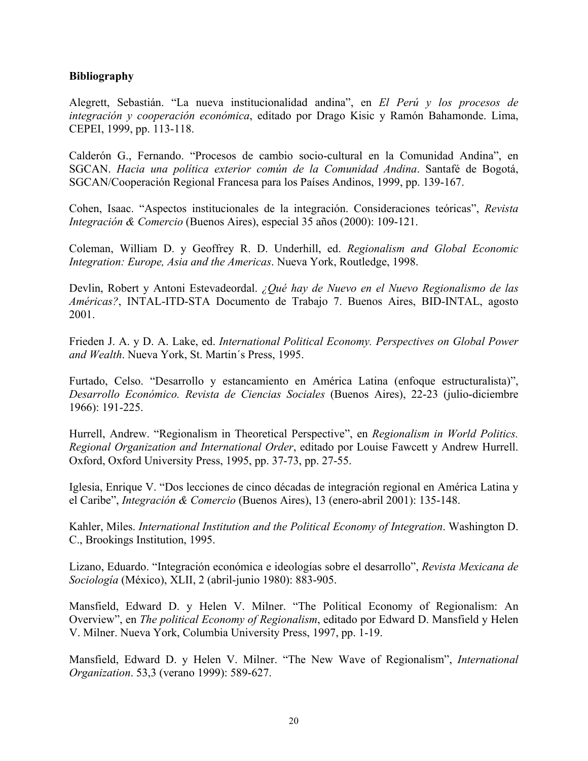## **Bibliography**

Alegrett, Sebastián. "La nueva institucionalidad andina", en *El Perú y los procesos de integración y cooperación económica*, editado por Drago Kisic y Ramón Bahamonde. Lima, CEPEI, 1999, pp. 113-118.

Calderón G., Fernando. "Procesos de cambio socio-cultural en la Comunidad Andina", en SGCAN. *Hacia una política exterior común de la Comunidad Andina*. Santafé de Bogotá, SGCAN/Cooperación Regional Francesa para los Países Andinos, 1999, pp. 139-167.

Cohen, Isaac. "Aspectos institucionales de la integración. Consideraciones teóricas", *Revista Integración & Comercio* (Buenos Aires), especial 35 años (2000): 109-121.

Coleman, William D. y Geoffrey R. D. Underhill, ed. *Regionalism and Global Economic Integration: Europe, Asia and the Americas*. Nueva York, Routledge, 1998.

Devlin, Robert y Antoni Estevadeordal. *¿Qué hay de Nuevo en el Nuevo Regionalismo de las Américas?*, INTAL-ITD-STA Documento de Trabajo 7. Buenos Aires, BID-INTAL, agosto 2001.

Frieden J. A. y D. A. Lake, ed. *International Political Economy. Perspectives on Global Power and Wealth*. Nueva York, St. Martin´s Press, 1995.

Furtado, Celso. "Desarrollo y estancamiento en América Latina (enfoque estructuralista)", *Desarrollo Económico. Revista de Ciencias Sociales* (Buenos Aires), 22-23 (julio-diciembre 1966): 191-225.

Hurrell, Andrew. "Regionalism in Theoretical Perspective", en *Regionalism in World Politics. Regional Organization and International Order*, editado por Louise Fawcett y Andrew Hurrell. Oxford, Oxford University Press, 1995, pp. 37-73, pp. 27-55.

Iglesia, Enrique V. "Dos lecciones de cinco décadas de integración regional en América Latina y el Caribe", *Integración & Comercio* (Buenos Aires), 13 (enero-abril 2001): 135-148.

Kahler, Miles. *International Institution and the Political Economy of Integration*. Washington D. C., Brookings Institution, 1995.

Lizano, Eduardo. "Integración económica e ideologías sobre el desarrollo", *Revista Mexicana de Sociología* (México), XLII, 2 (abril-junio 1980): 883-905.

Mansfield, Edward D. y Helen V. Milner. "The Political Economy of Regionalism: An Overview", en *The political Economy of Regionalism*, editado por Edward D. Mansfield y Helen V. Milner. Nueva York, Columbia University Press, 1997, pp. 1-19.

Mansfield, Edward D. y Helen V. Milner. "The New Wave of Regionalism", *International Organization*. 53,3 (verano 1999): 589-627.